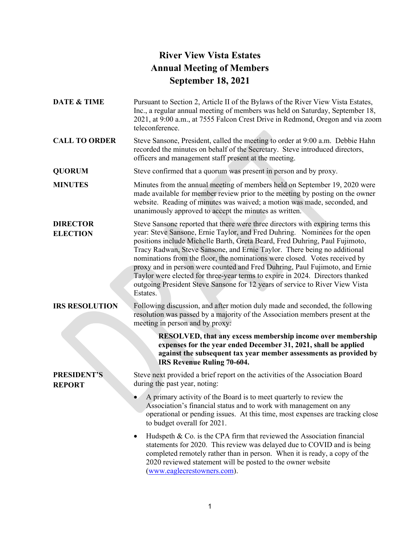## **River View Vista Estates Annual Meeting of Members September 18, 2021**

- **DATE & TIME** Pursuant to Section 2, Article II of the Bylaws of the River View Vista Estates, Inc., a regular annual meeting of members was held on Saturday, September 18, 2021, at 9:00 a.m., at 7555 Falcon Crest Drive in Redmond, Oregon and via zoom teleconference.
- **CALL TO ORDER** Steve Sansone, President, called the meeting to order at 9:00 a.m. Debbie Hahn recorded the minutes on behalf of the Secretary. Steve introduced directors, officers and management staff present at the meeting.

**QUORUM** Steve confirmed that a quorum was present in person and by proxy.

- **MINUTES** Minutes from the annual meeting of members held on September 19, 2020 were made available for member review prior to the meeting by posting on the owner website. Reading of minutes was waived; a motion was made, seconded, and unanimously approved to accept the minutes as written.
- **DIRECTOR ELECTION** Steve Sansone reported that there were three directors with expiring terms this year: Steve Sansone, Ernie Taylor, and Fred Duhring. Nominees for the open positions include Michelle Barth, Greta Beard, Fred Duhring, Paul Fujimoto, Tracy Radwan, Steve Sansone, and Ernie Taylor. There being no additional nominations from the floor, the nominations were closed. Votes received by proxy and in person were counted and Fred Duhring, Paul Fujimoto, and Ernie Taylor were elected for three-year terms to expire in 2024. Directors thanked outgoing President Steve Sansone for 12 years of service to River View Vista Estates.

**IRS RESOLUTION** Following discussion, and after motion duly made and seconded, the following resolution was passed by a majority of the Association members present at the meeting in person and by proxy:

> **RESOLVED, that any excess membership income over membership expenses for the year ended December 31, 2021, shall be applied against the subsequent tax year member assessments as provided by IRS Revenue Ruling 70-604.**

**PRESIDENT'S REPORT**

Steve next provided a brief report on the activities of the Association Board during the past year, noting:

- A primary activity of the Board is to meet quarterly to review the Association's financial status and to work with management on any operational or pending issues. At this time, most expenses are tracking close to budget overall for 2021.
- Hudspeth  $\&$  Co. is the CPA firm that reviewed the Association financial statements for 2020. This review was delayed due to COVID and is being completed remotely rather than in person. When it is ready, a copy of the 2020 reviewed statement will be posted to the owner website [\(www.eaglecrestowners.com\)](http://www.eaglecrestowners.com/).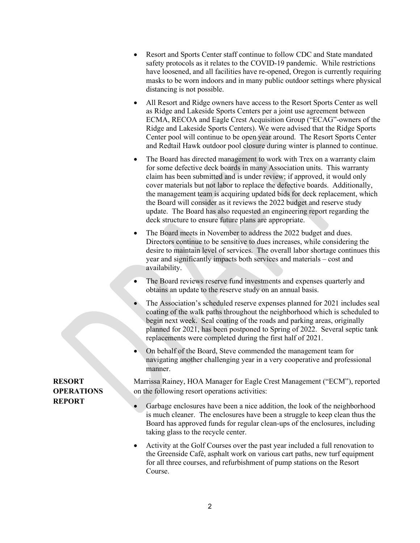- Resort and Sports Center staff continue to follow CDC and State mandated safety protocols as it relates to the COVID-19 pandemic. While restrictions have loosened, and all facilities have re-opened, Oregon is currently requiring masks to be worn indoors and in many public outdoor settings where physical distancing is not possible.
- All Resort and Ridge owners have access to the Resort Sports Center as well as Ridge and Lakeside Sports Centers per a joint use agreement between ECMA, RECOA and Eagle Crest Acquisition Group ("ECAG"-owners of the Ridge and Lakeside Sports Centers). We were advised that the Ridge Sports Center pool will continue to be open year around. The Resort Sports Center and Redtail Hawk outdoor pool closure during winter is planned to continue.
- The Board has directed management to work with Trex on a warranty claim for some defective deck boards in many Association units. This warranty claim has been submitted and is under review; if approved, it would only cover materials but not labor to replace the defective boards. Additionally, the management team is acquiring updated bids for deck replacement, which the Board will consider as it reviews the 2022 budget and reserve study update. The Board has also requested an engineering report regarding the deck structure to ensure future plans are appropriate.
- The Board meets in November to address the 2022 budget and dues. Directors continue to be sensitive to dues increases, while considering the desire to maintain level of services. The overall labor shortage continues this year and significantly impacts both services and materials – cost and availability.
- The Board reviews reserve fund investments and expenses quarterly and obtains an update to the reserve study on an annual basis.
- The Association's scheduled reserve expenses planned for 2021 includes seal coating of the walk paths throughout the neighborhood which is scheduled to begin next week. Seal coating of the roads and parking areas, originally planned for 2021, has been postponed to Spring of 2022. Several septic tank replacements were completed during the first half of 2021.
- On behalf of the Board, Steve commended the management team for navigating another challenging year in a very cooperative and professional manner.

Marrissa Rainey, HOA Manager for Eagle Crest Management ("ECM"), reported on the following resort operations activities:

- Garbage enclosures have been a nice addition, the look of the neighborhood is much cleaner. The enclosures have been a struggle to keep clean thus the Board has approved funds for regular clean-ups of the enclosures, including taking glass to the recycle center.
- Activity at the Golf Courses over the past year included a full renovation to the Greenside Café, asphalt work on various cart paths, new turf equipment for all three courses, and refurbishment of pump stations on the Resort Course.

## **RESORT OPERATIONS REPORT**